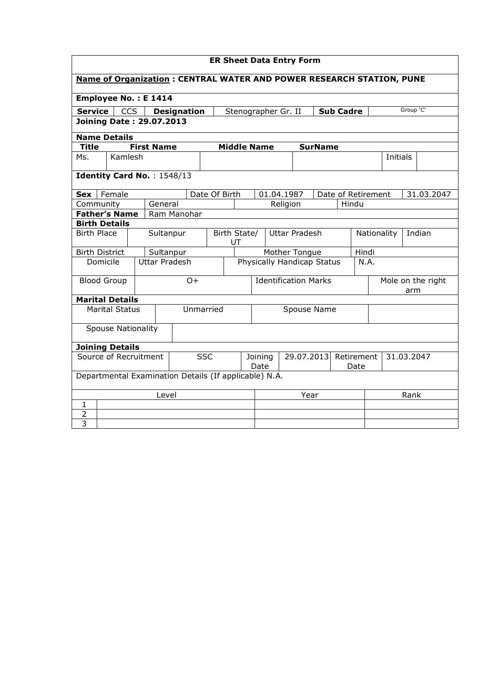| <b>ER Sheet Data Entry Form</b>                                             |                                                       |  |                      |                                                |                                            |                             |                            |            |  |                       |                    |                          |  |           |            |
|-----------------------------------------------------------------------------|-------------------------------------------------------|--|----------------------|------------------------------------------------|--------------------------------------------|-----------------------------|----------------------------|------------|--|-----------------------|--------------------|--------------------------|--|-----------|------------|
| <b>Name of Organization: CENTRAL WATER AND POWER RESEARCH STATION, PUNE</b> |                                                       |  |                      |                                                |                                            |                             |                            |            |  |                       |                    |                          |  |           |            |
| Employee No.: E 1414                                                        |                                                       |  |                      |                                                |                                            |                             |                            |            |  |                       |                    |                          |  |           |            |
| <b>Service</b>                                                              | <b>CCS</b>                                            |  |                      | <b>Designation</b>                             |                                            |                             | Stenographer Gr. II        |            |  |                       | <b>Sub Cadre</b>   |                          |  | Group 'C' |            |
| <b>Joining Date: 29.07.2013</b>                                             |                                                       |  |                      |                                                |                                            |                             |                            |            |  |                       |                    |                          |  |           |            |
| <b>Name Details</b>                                                         |                                                       |  |                      |                                                |                                            |                             |                            |            |  |                       |                    |                          |  |           |            |
| <b>Title</b>                                                                |                                                       |  | <b>First Name</b>    |                                                |                                            |                             | <b>Middle Name</b>         |            |  | <b>SurName</b>        |                    |                          |  |           |            |
| Ms.                                                                         | Kamlesh                                               |  |                      |                                                |                                            |                             |                            |            |  |                       |                    |                          |  | Initials  |            |
| Identity Card No.: 1548/13                                                  |                                                       |  |                      |                                                |                                            |                             |                            |            |  |                       |                    |                          |  |           |            |
| <b>Sex</b>                                                                  | Female                                                |  |                      |                                                | Date Of Birth                              |                             |                            | 01.04.1987 |  |                       | Date of Retirement |                          |  |           | 31.03.2047 |
| Community                                                                   |                                                       |  | General              |                                                |                                            |                             |                            | Religion   |  |                       | Hindu              |                          |  |           |            |
| <b>Father's Name</b>                                                        |                                                       |  |                      | Ram Manohar                                    |                                            |                             |                            |            |  |                       |                    |                          |  |           |            |
| <b>Birth Details</b>                                                        |                                                       |  |                      |                                                |                                            |                             |                            |            |  |                       |                    |                          |  |           |            |
| <b>Birth Place</b>                                                          |                                                       |  | Sultanpur            |                                                | <b>Uttar Pradesh</b><br>Birth State/<br>UT |                             |                            |            |  | Nationality<br>Indian |                    |                          |  |           |            |
| <b>Birth District</b>                                                       |                                                       |  | Sultanpur            |                                                |                                            |                             | Mother Tongue              |            |  |                       |                    | Hindi                    |  |           |            |
| Domicile                                                                    |                                                       |  | <b>Uttar Pradesh</b> |                                                |                                            |                             | Physically Handicap Status |            |  |                       |                    | N.A.                     |  |           |            |
| <b>Blood Group</b>                                                          |                                                       |  |                      | $O +$                                          |                                            | <b>Identification Marks</b> |                            |            |  |                       |                    | Mole on the right<br>arm |  |           |            |
| <b>Marital Details</b>                                                      |                                                       |  |                      |                                                |                                            |                             |                            |            |  |                       |                    |                          |  |           |            |
|                                                                             | <b>Marital Status</b>                                 |  |                      |                                                | Unmarried                                  |                             | Spouse Name                |            |  |                       |                    |                          |  |           |            |
|                                                                             | <b>Spouse Nationality</b>                             |  |                      |                                                |                                            |                             |                            |            |  |                       |                    |                          |  |           |            |
| <b>Joining Details</b>                                                      |                                                       |  |                      |                                                |                                            |                             |                            |            |  |                       |                    |                          |  |           |            |
| Source of Recruitment<br><b>SSC</b>                                         |                                                       |  | Joining<br>Date      | 29.07.2013<br>Retirement<br>31.03.2047<br>Date |                                            |                             |                            |            |  |                       |                    |                          |  |           |            |
|                                                                             | Departmental Examination Details (If applicable) N.A. |  |                      |                                                |                                            |                             |                            |            |  |                       |                    |                          |  |           |            |
| Level                                                                       |                                                       |  |                      |                                                | Year                                       |                             |                            |            |  | Rank                  |                    |                          |  |           |            |
| 1                                                                           |                                                       |  |                      |                                                |                                            |                             |                            |            |  |                       |                    |                          |  |           |            |
| $\overline{2}$                                                              |                                                       |  |                      |                                                |                                            |                             |                            |            |  |                       |                    |                          |  |           |            |
| 3                                                                           |                                                       |  |                      |                                                |                                            |                             |                            |            |  |                       |                    |                          |  |           |            |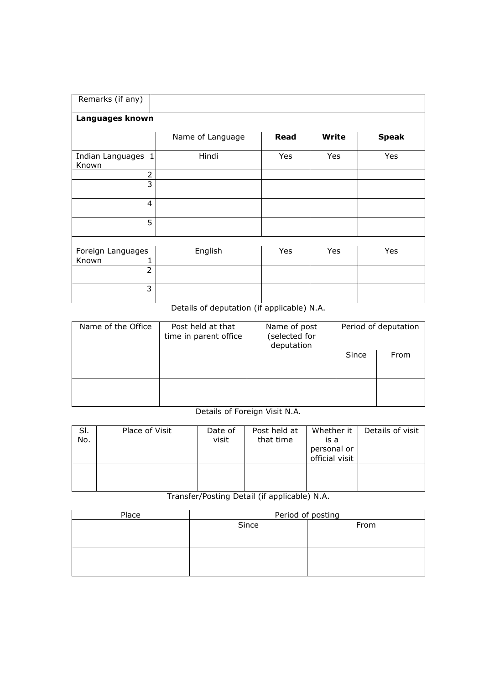| Remarks (if any)            |                  |             |              |              |  |  |  |  |  |  |  |
|-----------------------------|------------------|-------------|--------------|--------------|--|--|--|--|--|--|--|
| Languages known             |                  |             |              |              |  |  |  |  |  |  |  |
|                             | Name of Language | <b>Read</b> | <b>Write</b> | <b>Speak</b> |  |  |  |  |  |  |  |
| Indian Languages 1<br>Known | Hindi            | Yes         | Yes          | Yes          |  |  |  |  |  |  |  |
| $\overline{2}$              |                  |             |              |              |  |  |  |  |  |  |  |
| $\overline{3}$              |                  |             |              |              |  |  |  |  |  |  |  |
| $\overline{4}$              |                  |             |              |              |  |  |  |  |  |  |  |
| 5                           |                  |             |              |              |  |  |  |  |  |  |  |
|                             |                  |             |              |              |  |  |  |  |  |  |  |
| Foreign Languages<br>Known  | English          | Yes         | Yes          | Yes          |  |  |  |  |  |  |  |
| $\overline{2}$              |                  |             |              |              |  |  |  |  |  |  |  |
| 3                           |                  |             |              |              |  |  |  |  |  |  |  |

## Details of deputation (if applicable) N.A.

| Name of the Office | Post held at that<br>time in parent office | Name of post<br>(selected for<br>deputation | Period of deputation |      |  |
|--------------------|--------------------------------------------|---------------------------------------------|----------------------|------|--|
|                    |                                            |                                             | Since                | From |  |
|                    |                                            |                                             |                      |      |  |

Details of Foreign Visit N.A.

| SI.<br>No. | Place of Visit | Date of<br>visit | Post held at<br>that time | Whether it<br>is a<br>personal or<br>official visit | Details of visit |
|------------|----------------|------------------|---------------------------|-----------------------------------------------------|------------------|
|            |                |                  |                           |                                                     |                  |

Transfer/Posting Detail (if applicable) N.A.

| Period of posting |      |  |  |  |  |  |  |
|-------------------|------|--|--|--|--|--|--|
| Since             | From |  |  |  |  |  |  |
|                   |      |  |  |  |  |  |  |
|                   |      |  |  |  |  |  |  |
|                   |      |  |  |  |  |  |  |
|                   |      |  |  |  |  |  |  |
|                   |      |  |  |  |  |  |  |